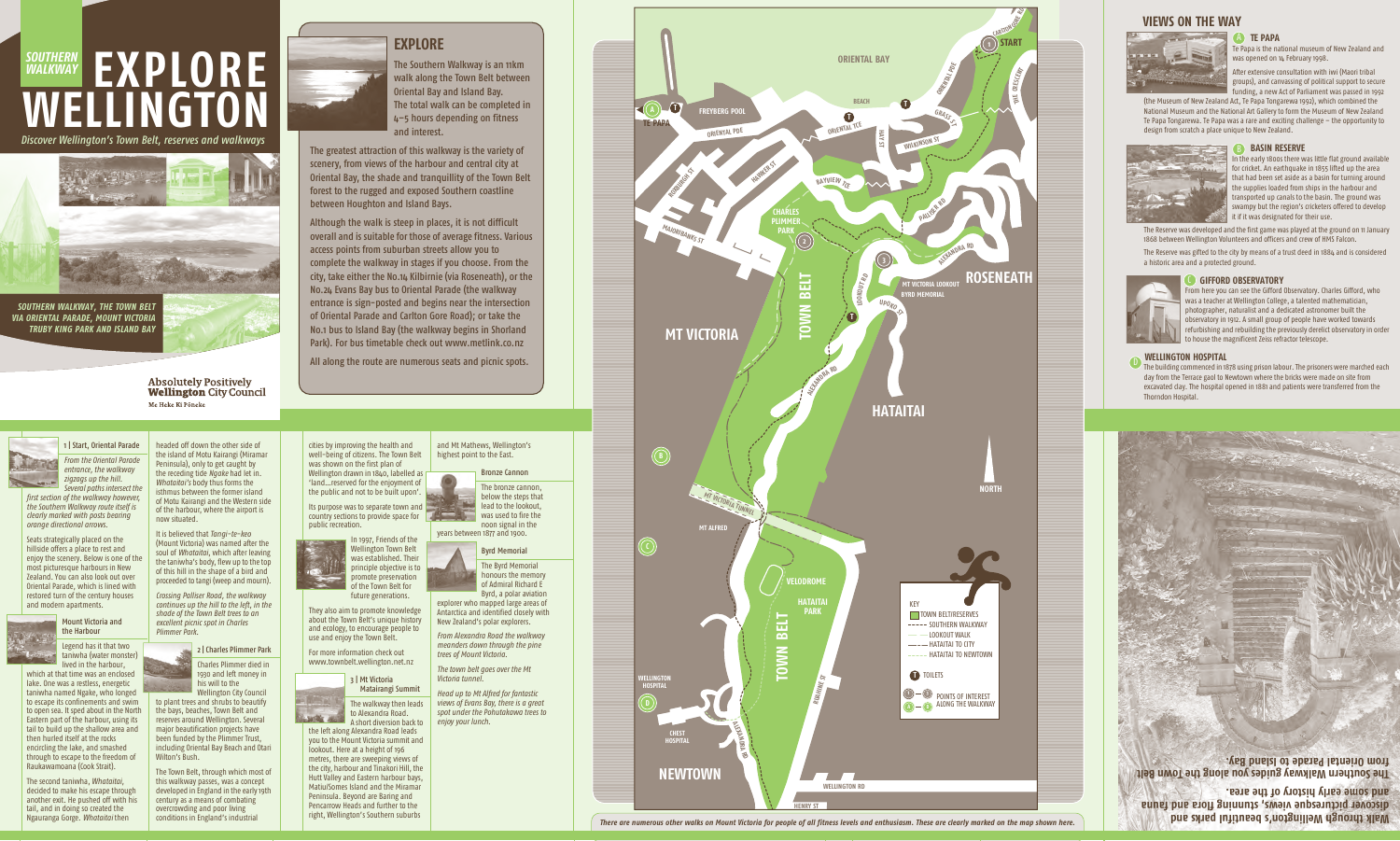# **EXPLORE WELLINGTON** *SOUTHERN WALKWAY*

*Discover Wellington's Town Belt, reserves and walkways*



*SOUTHERN WALKWAY, THE TOWN BELT VIA ORIENTAL PARADE, MOUNT VICTORIA TRUBY KING PARK AND ISLAND BAY*



**Absolutely Positively Wellington City Council** Me Heke Ki Põneke



The Southern Walkway is an 11km walk along the Town Belt between Oriental Bay and Island Bay. The total walk can be completed in 4–5 hours depending on fitness and interest.

The greatest attraction of this walkway is the variety of scenery, from views of the harbour and central city at Oriental Bay, the shade and tranquillity of the Town Belt forest to the rugged and exposed Southern coastline between Houghton and Island Bays.

Its purpose was to separate town and country sections to provide space for public recreation.

Although the walk is steep in places, it is not difficult overall and is suitable for those of average fitness. Various access points from suburban streets allow you to complete the walkway in stages if you choose. From the city, take either the No.14 Kilbirnie (via Roseneath), or the No.24 Evans Bay bus to Oriental Parade (the walkway entrance is sign-posted and begins near the intersection of Oriental Parade and Carlton Gore Road); or take the No.1 bus to Island Bay (the walkway begins in Shorland Park). For bus timetable check out www.metlink.co.nz

All along the route are numerous seats and picnic spots.

**Walk through Wellington's beautiful parks and discover picturesque views, stunning flora and fauna and some early history of the area.**

**The Southern Walkway guides you along the Town Belt from Oriental Parade to Island Bay.**

cities by improving the health and well-being of citizens. The Town Belt was shown on the first plan of Wellington drawn in 1840, labelled as 'land…reserved for the enjoyment of the public and not to be built upon'.

After extensive consultation with iwi (Maori tribal groups), and canvassing of political support to secure unding, a new Act of Parliament was passed in 1992



They also aim to promote knowledge about the Town Belt's unique history and ecology, to encourage people to use and enjoy the Town Belt.

For more information check out www.townbelt.wellington.net.nz

> 3 | Mt Victoria Matairangi Summit



A short diversion back to the left along Alexandra Road leads you to the Mount Victoria summit and lookout. Here at a height of 196 metres, there are sweeping views of the city, harbour and Tinakori Hill, the Hutt Valley and Eastern harbour bays, Matiu/Somes Island and the Miramar Peninsula. Beyond are Baring and Pencarrow Heads and further to the right, Wellington's Southern suburbs

#### and Mt Mathews, Wellington's highest point to the East.

Bronze Cannon

The bronze cannon, below the steps that lead to the lookout, was used to fire the noon signal in the

years between 1877 and 1900.

#### Byrd Memorial

The Byrd Memorial honours the memory of Admiral Richard E Byrd, a polar aviation

explorer who mapped large areas of Antarctica and identified closely with New Zealand's polar explorers.

*From Alexandra Road the walkway meanders down through the pine trees of Mount Victoria.*

*The town belt goes over the Mt Victoria tunnel.*

*Head up to Mt Alfred for fantastic views of Evans Bay, there is a great spot under the Pohutakawa trees to enjoy your lunch.*

Te Papa is the national museum of New Zealand and

was opened on 14 February 1998.

(the Museum of New Zealand Act, Te Papa Tongarewa 1992), which combined the National Museum and the National Art Gallery to form the Museum of New Zealand Te Papa Tongarewa. Te Papa was a rare and exciting challenge – the opportunity to

design from scratch a place unique to New Zealand.

### **B** BASIN RESERVE

In the early 1800s there was little flat ground available for cricket. An earthquake in 1855 lifted up the area that had been set aside as a basin for turning around the supplies loaded from ships in the harbour and transported up canals to the basin. The ground was swampy but the region's cricketers offered to develop it if it was designated for their use.

The Reserve was developed and the first game was played at the ground on 11 January 1868 between Wellington Volunteers and officers and crew of HMS Falcon.

The Reserve was gifted to the city by means of a trust deed in 1884 and is considered a historic area and a protected ground.

### **GIFFORD OBSERVATORY**



observatory in 1912. A small group of people have worked towards refurbishing and rebuilding the previously derelict observatory in order to house the magnificent Zeiss refractor telescope. **WELLINGTON HOSPITAL** The building commenced in 1878 using prison labour. The prisoners were marched each

day from the Terrace gaol to Newtown where the bricks were made on site from excavated clay. The hospital opened in 1881 and patients were transferred from the



Thorndon Hospital.

### 1 | Start, Oriental Parade

*From the Oriental Parade entrance, the walkway zigzags up the hill. Several paths intersect the*

*first section of the walkway however, the Southern Walkway route itself is clearly marked with posts bearing orange directional arrows.*

**TE PAPA** A

Seats strategically placed on the hillside offers a place to rest and enjoy the scenery. Below is one of the most picturesque harbours in New Zealand. You can also look out over Oriental Parade, which is lined with restored turn of the century houses and modern apartments.



Legend has it that two taniwha (water monster) lived in the harbour, which at that time was an enclosed

lake. One was a restless, energetic taniwha named Ngake, who longed to escape its confinements and swim to open sea. It sped about in the North Eastern part of the harbour, using its tail to build up the shallow area and then hurled itself at the rocks encircling the lake, and smashed through to escape to the freedom of Raukawamoana (Cook Strait).

The second taniwha, *Whataitai*, decided to make his escape through another exit. He pushed off with his tail, and in doing so created the Ngauranga Gorge. *Whataitai* then

headed off down the other side of the island of Motu Kairangi (Miramar Peninsula), only to get caught by the receding tide *Ngake* had let in. *Whataitai's* body thus forms the isthmus between the former island of Motu Kairangi and the Western side of the harbour, where the airport is now situated.

It is believed that *Tangi-te-keo* (Mount Victoria) was named after the soul of *Whataitai*, which after leaving the taniwha's body, flew up to the top of this hill in the shape of a bird and proceeded to tangi (weep and mourn).

*Crossing Palliser Road, the walkway continues up the hill to the left, in the shade of the Town Belt trees to an excellent picnic spot in Charles Plimmer Park.*

## 2 | Charles Plimmer Park

Charles Plimmer died in 1930 and left money in his will to the Wellington City Council

to plant trees and shrubs to beautify the bays, beaches, Town Belt and reserves around Wellington. Several major beautification projects have been funded by the Plimmer Trust, including Oriental Bay Beach and Otari Wilton's Bush.

The Town Belt, through which most of this walkway passes, was a concept developed in England in the early 19th century as a means of combating overcrowding and poor living conditions in England's industrial

**VIEWS ON THE WAY**



*There are numerous other walks on Mount Victoria for people of all fitness levels and enthusiasm. These are clearly marked on the map shown here.*